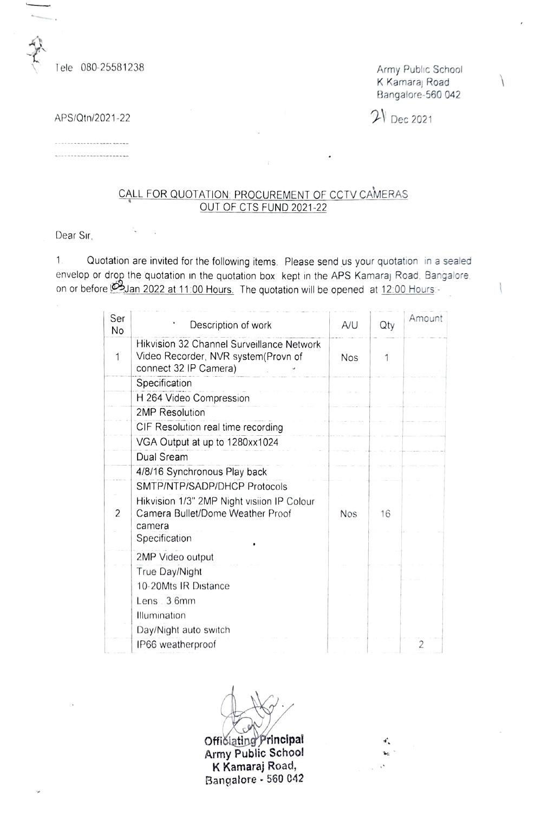Tele 080-25581238 Army Public School

K Kamaraj Road Bangalore-560 042

 $\mathcal{P}$  Dec 2021-22

......................

## CALL FOR QUOTATION: PROCUREMENT OF CCTV CAMERAS OUT OF CTS FUND 2021-22

Dear Sir,

. Quotation are invited for the following items. Please send us your quotation in a sealed envelop or drop the quotation in the quotation box kept in the APS Kamaraj Road, Bangalore on or before 2022 at 11:00 Hours. The quotation will be opened at 12:00 Hours

| Ser<br>No     | Description of work                                                                                       | A/U        | Qty | Amount |
|---------------|-----------------------------------------------------------------------------------------------------------|------------|-----|--------|
| 1             | Hikvision 32 Channel Surveillance Network<br>Video Recorder, NVR system(Provn of<br>connect 32 IP Camera) | <b>Nos</b> |     |        |
|               | Specification                                                                                             |            |     |        |
|               | H 264 Video Compression                                                                                   |            |     |        |
|               | 2MP Resolution                                                                                            |            |     |        |
|               | CIF Resolution real time recording                                                                        |            |     |        |
|               | VGA Output at up to 1280xx1024                                                                            |            |     |        |
|               | Dual Sream                                                                                                |            |     |        |
|               | 4/8/16 Synchronous Play back                                                                              |            |     |        |
|               | SMTP/NTP/SADP/DHCP Protocols                                                                              |            |     |        |
| $\mathcal{P}$ | Hikvision 1/3" 2MP Night visiion IP Colour<br>Camera Bullet/Dome Weather Proof<br>camera<br>Specification | <b>Nos</b> | 16  |        |
|               | 2MP Video output                                                                                          |            |     |        |
|               | True Day/Night                                                                                            |            |     |        |
|               | 10-20Mts IR Distance                                                                                      |            |     |        |
|               | Lens : 3.6mm                                                                                              |            |     |        |
|               | Illumination                                                                                              |            |     |        |
|               | Day/Night auto switch                                                                                     |            |     |        |
|               | IP66 weatherproof                                                                                         |            |     | 2      |

Officiating Principal Army Public Schoo! K Kamaraj Road, Bangalore - 560 042